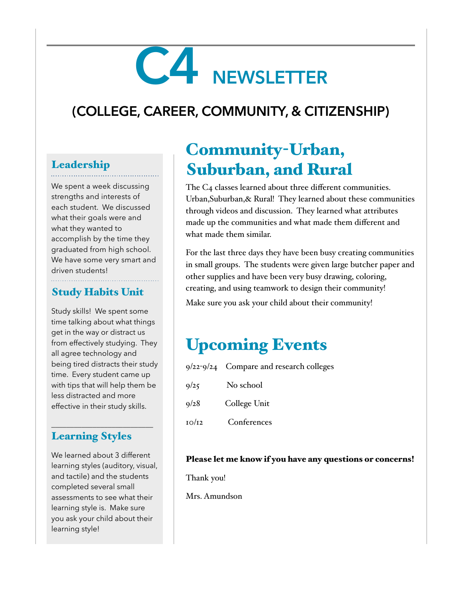# **C4 NEWSLETTER**

## **(COLLEGE, CAREER, COMMUNITY, & CITIZENSHIP)**

## Leadership

We spent a week discussing strengths and interests of each student. We discussed what their goals were and what they wanted to accomplish by the time they graduated from high school. We have some very smart and driven students!

#### Study Habits Unit

Study skills! We spent some time talking about what things get in the way or distract us from effectively studying. They all agree technology and being tired distracts their study time. Every student came up with tips that will help them be less distracted and more effective in their study skills.

### Learning Styles

\_\_\_\_\_\_\_\_\_\_\_\_\_\_\_\_\_\_\_\_\_\_\_\_\_\_\_

We learned about 3 different learning styles (auditory, visual, and tactile) and the students completed several small assessments to see what their learning style is. Make sure you ask your child about their learning style!

## Community-Urban, Suburban, and Rural

The C4 classes learned about three different communities. Urban,Suburban,& Rural! They learned about these communities through videos and discussion. They learned what attributes made up the communities and what made them different and what made them similar.

For the last three days they have been busy creating communities in small groups. The students were given large butcher paper and other supplies and have been very busy drawing, coloring, creating, and using teamwork to design their community! Make sure you ask your child about their community!

## Upcoming Events

|       | $9/22-9/24$ Compare and research colleges |
|-------|-------------------------------------------|
| 9/25  | No school                                 |
| 9/28  | College Unit                              |
| 10/12 | Conferences                               |

#### Please let me know if you have any questions or concerns!

Thank you!

Mrs. Amundson